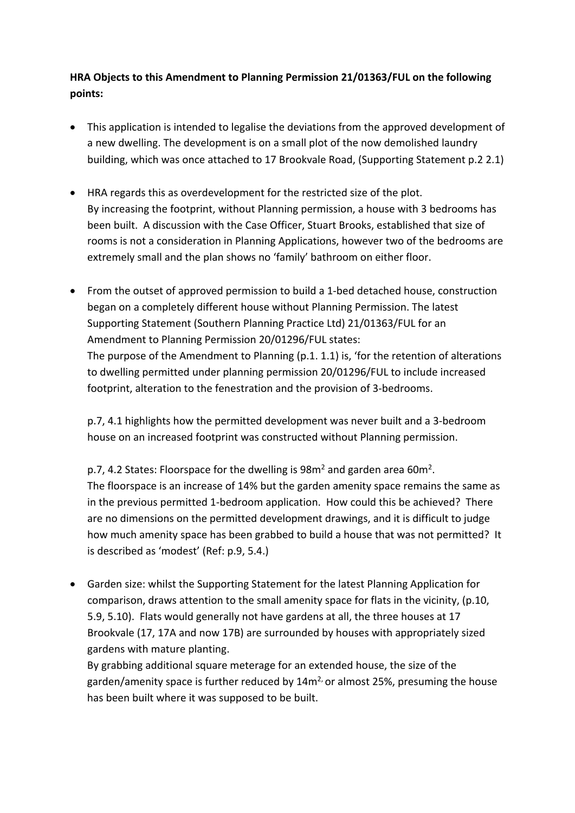**HRA Objects to this Amendment to Planning Permission 21/01363/FUL on the following points:**

- This application is intended to legalise the deviations from the approved development of a new dwelling. The development is on a small plot of the now demolished laundry building, which was once attached to 17 Brookvale Road, (Supporting Statement p.2 2.1)
- HRA regards this as overdevelopment for the restricted size of the plot. By increasing the footprint, without Planning permission, a house with 3 bedrooms has been built. A discussion with the Case Officer, Stuart Brooks, established that size of rooms is not a consideration in Planning Applications, however two of the bedrooms are extremely small and the plan shows no 'family' bathroom on either floor.
- From the outset of approved permission to build a 1-bed detached house, construction began on a completely different house without Planning Permission. The latest Supporting Statement (Southern Planning Practice Ltd) 21/01363/FUL for an Amendment to Planning Permission 20/01296/FUL states: The purpose of the Amendment to Planning (p.1. 1.1) is, 'for the retention of alterations to dwelling permitted under planning permission 20/01296/FUL to include increased footprint, alteration to the fenestration and the provision of 3-bedrooms.

p.7, 4.1 highlights how the permitted development was never built and a 3-bedroom house on an increased footprint was constructed without Planning permission.

p.7, 4.2 States: Floorspace for the dwelling is 98m<sup>2</sup> and garden area 60m<sup>2</sup>. The floorspace is an increase of 14% but the garden amenity space remains the same as in the previous permitted 1-bedroom application. How could this be achieved? There are no dimensions on the permitted development drawings, and it is difficult to judge how much amenity space has been grabbed to build a house that was not permitted? It is described as 'modest' (Ref: p.9, 5.4.)

• Garden size: whilst the Supporting Statement for the latest Planning Application for comparison, draws attention to the small amenity space for flats in the vicinity, (p.10, 5.9, 5.10). Flats would generally not have gardens at all, the three houses at 17 Brookvale (17, 17A and now 17B) are surrounded by houses with appropriately sized gardens with mature planting.

By grabbing additional square meterage for an extended house, the size of the garden/amenity space is further reduced by  $14m<sup>2</sup>$  or almost 25%, presuming the house has been built where it was supposed to be built.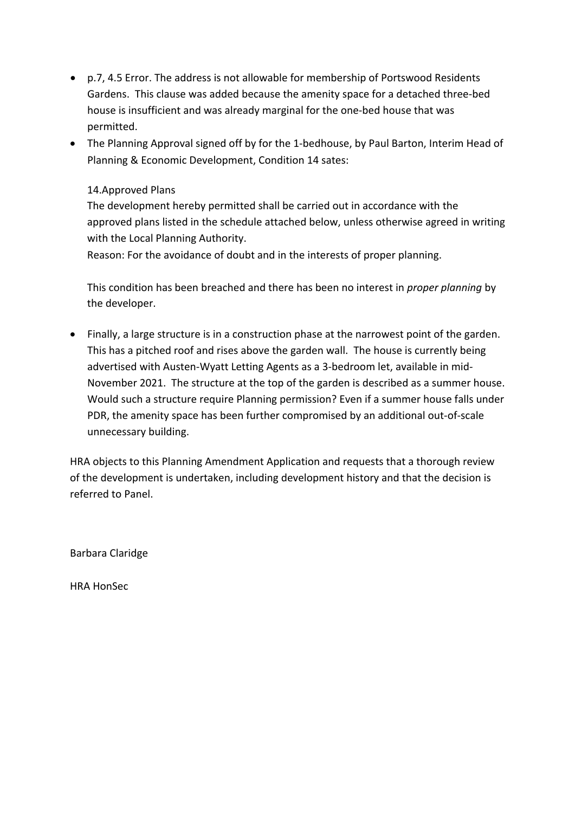- p.7, 4.5 Error. The address is not allowable for membership of Portswood Residents Gardens. This clause was added because the amenity space for a detached three-bed house is insufficient and was already marginal for the one-bed house that was permitted.
- The Planning Approval signed off by for the 1-bedhouse, by Paul Barton, Interim Head of Planning & Economic Development, Condition 14 sates:

#### 14.Approved Plans

The development hereby permitted shall be carried out in accordance with the approved plans listed in the schedule attached below, unless otherwise agreed in writing with the Local Planning Authority.

Reason: For the avoidance of doubt and in the interests of proper planning.

This condition has been breached and there has been no interest in *proper planning* by the developer.

• Finally, a large structure is in a construction phase at the narrowest point of the garden. This has a pitched roof and rises above the garden wall. The house is currently being advertised with Austen-Wyatt Letting Agents as a 3-bedroom let, available in mid-November 2021. The structure at the top of the garden is described as a summer house. Would such a structure require Planning permission? Even if a summer house falls under PDR, the amenity space has been further compromised by an additional out-of-scale unnecessary building.

HRA objects to this Planning Amendment Application and requests that a thorough review of the development is undertaken, including development history and that the decision is referred to Panel.

Barbara Claridge

HRA HonSec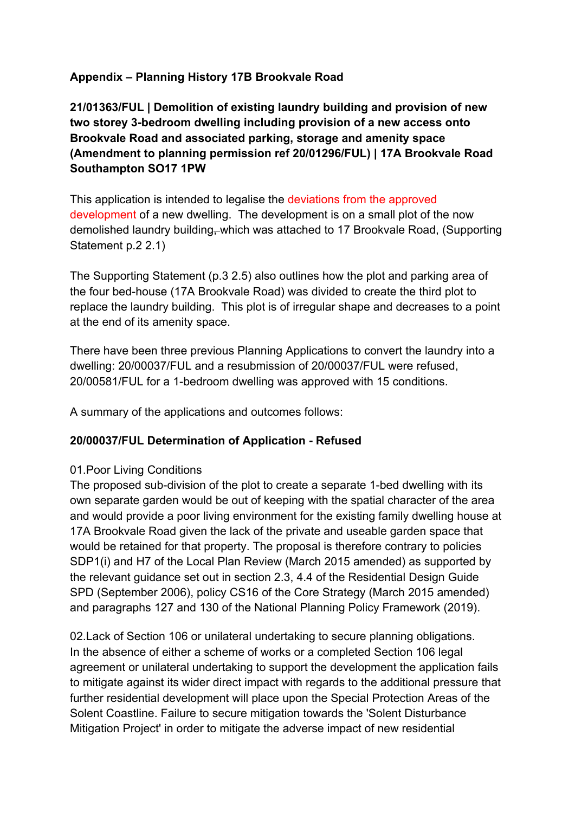# **Appendix – Planning History 17B Brookvale Road**

**21/01363/FUL | Demolition of existing laundry building and provision of new two storey 3-bedroom dwelling including provision of a new access onto Brookvale Road and associated parking, storage and amenity space (Amendment to planning permission ref 20/01296/FUL) | 17A Brookvale Road Southampton SO17 1PW**

This application is intended to legalise the deviations from the approved development of a new dwelling. The development is on a small plot of the now demolished laundry building, which was attached to 17 Brookvale Road, (Supporting Statement p.2 2.1)

The Supporting Statement (p.3 2.5) also outlines how the plot and parking area of the four bed-house (17A Brookvale Road) was divided to create the third plot to replace the laundry building. This plot is of irregular shape and decreases to a point at the end of its amenity space.

There have been three previous Planning Applications to convert the laundry into a dwelling: 20/00037/FUL and a resubmission of 20/00037/FUL were refused, 20/00581/FUL for a 1-bedroom dwelling was approved with 15 conditions.

A summary of the applications and outcomes follows:

## **20/00037/FUL Determination of Application - Refused**

### 01.Poor Living Conditions

The proposed sub-division of the plot to create a separate 1-bed dwelling with its own separate garden would be out of keeping with the spatial character of the area and would provide a poor living environment for the existing family dwelling house at 17A Brookvale Road given the lack of the private and useable garden space that would be retained for that property. The proposal is therefore contrary to policies SDP1(i) and H7 of the Local Plan Review (March 2015 amended) as supported by the relevant guidance set out in section 2.3, 4.4 of the Residential Design Guide SPD (September 2006), policy CS16 of the Core Strategy (March 2015 amended) and paragraphs 127 and 130 of the National Planning Policy Framework (2019).

02.Lack of Section 106 or unilateral undertaking to secure planning obligations. In the absence of either a scheme of works or a completed Section 106 legal agreement or unilateral undertaking to support the development the application fails to mitigate against its wider direct impact with regards to the additional pressure that further residential development will place upon the Special Protection Areas of the Solent Coastline. Failure to secure mitigation towards the 'Solent Disturbance Mitigation Project' in order to mitigate the adverse impact of new residential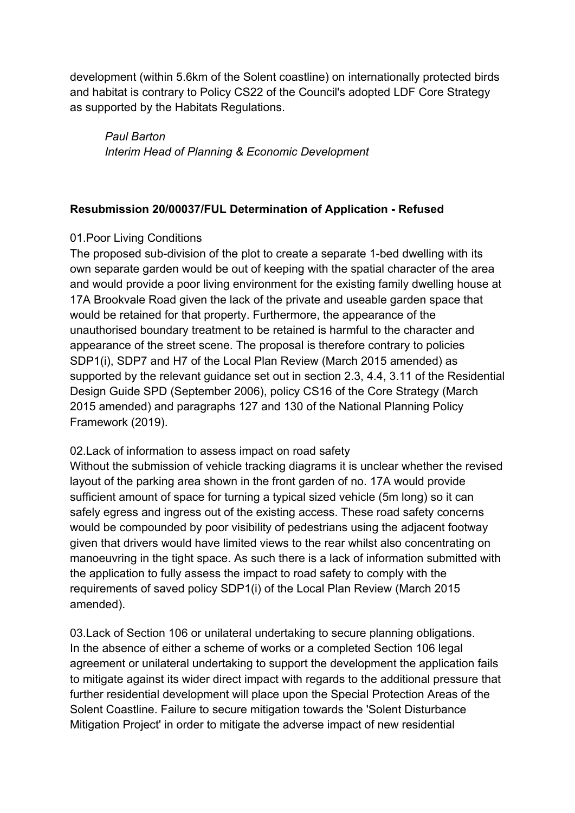development (within 5.6km of the Solent coastline) on internationally protected birds and habitat is contrary to Policy CS22 of the Council's adopted LDF Core Strategy as supported by the Habitats Regulations.

*Paul Barton Interim Head of Planning & Economic Development* 

## **Resubmission 20/00037/FUL Determination of Application - Refused**

## 01.Poor Living Conditions

The proposed sub-division of the plot to create a separate 1-bed dwelling with its own separate garden would be out of keeping with the spatial character of the area and would provide a poor living environment for the existing family dwelling house at 17A Brookvale Road given the lack of the private and useable garden space that would be retained for that property. Furthermore, the appearance of the unauthorised boundary treatment to be retained is harmful to the character and appearance of the street scene. The proposal is therefore contrary to policies SDP1(i), SDP7 and H7 of the Local Plan Review (March 2015 amended) as supported by the relevant guidance set out in section 2.3, 4.4, 3.11 of the Residential Design Guide SPD (September 2006), policy CS16 of the Core Strategy (March 2015 amended) and paragraphs 127 and 130 of the National Planning Policy Framework (2019).

02.Lack of information to assess impact on road safety

Without the submission of vehicle tracking diagrams it is unclear whether the revised layout of the parking area shown in the front garden of no. 17A would provide sufficient amount of space for turning a typical sized vehicle (5m long) so it can safely egress and ingress out of the existing access. These road safety concerns would be compounded by poor visibility of pedestrians using the adjacent footway given that drivers would have limited views to the rear whilst also concentrating on manoeuvring in the tight space. As such there is a lack of information submitted with the application to fully assess the impact to road safety to comply with the requirements of saved policy SDP1(i) of the Local Plan Review (March 2015 amended).

03.Lack of Section 106 or unilateral undertaking to secure planning obligations. In the absence of either a scheme of works or a completed Section 106 legal agreement or unilateral undertaking to support the development the application fails to mitigate against its wider direct impact with regards to the additional pressure that further residential development will place upon the Special Protection Areas of the Solent Coastline. Failure to secure mitigation towards the 'Solent Disturbance Mitigation Project' in order to mitigate the adverse impact of new residential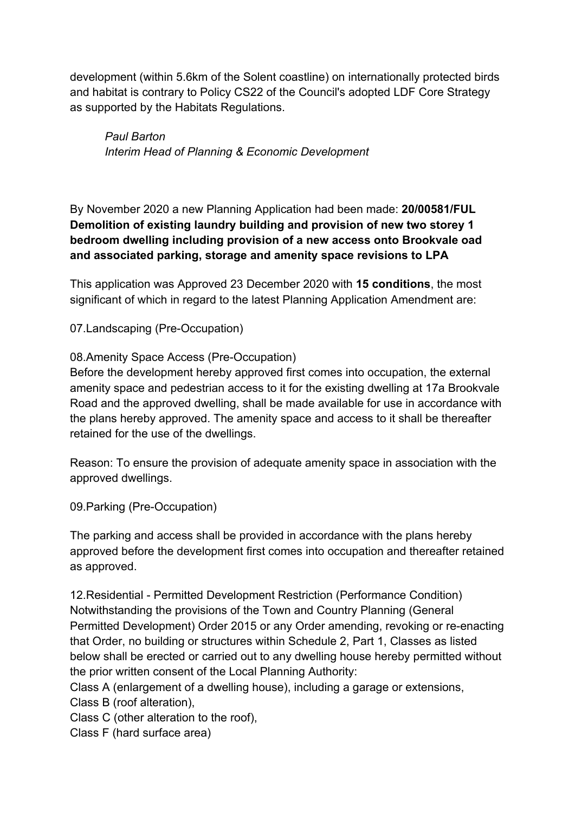development (within 5.6km of the Solent coastline) on internationally protected birds and habitat is contrary to Policy CS22 of the Council's adopted LDF Core Strategy as supported by the Habitats Regulations.

*Paul Barton Interim Head of Planning & Economic Development* 

By November 2020 a new Planning Application had been made: **20/00581/FUL Demolition of existing laundry building and provision of new two storey 1 bedroom dwelling including provision of a new access onto Brookvale oad and associated parking, storage and amenity space revisions to LPA** 

This application was Approved 23 December 2020 with **15 conditions**, the most significant of which in regard to the latest Planning Application Amendment are:

07.Landscaping (Pre-Occupation)

## 08.Amenity Space Access (Pre-Occupation)

Before the development hereby approved first comes into occupation, the external amenity space and pedestrian access to it for the existing dwelling at 17a Brookvale Road and the approved dwelling, shall be made available for use in accordance with the plans hereby approved. The amenity space and access to it shall be thereafter retained for the use of the dwellings.

Reason: To ensure the provision of adequate amenity space in association with the approved dwellings.

09.Parking (Pre-Occupation)

The parking and access shall be provided in accordance with the plans hereby approved before the development first comes into occupation and thereafter retained as approved.

12.Residential - Permitted Development Restriction (Performance Condition) Notwithstanding the provisions of the Town and Country Planning (General Permitted Development) Order 2015 or any Order amending, revoking or re-enacting that Order, no building or structures within Schedule 2, Part 1, Classes as listed below shall be erected or carried out to any dwelling house hereby permitted without the prior written consent of the Local Planning Authority:

Class A (enlargement of a dwelling house), including a garage or extensions, Class B (roof alteration),

Class C (other alteration to the roof),

Class F (hard surface area)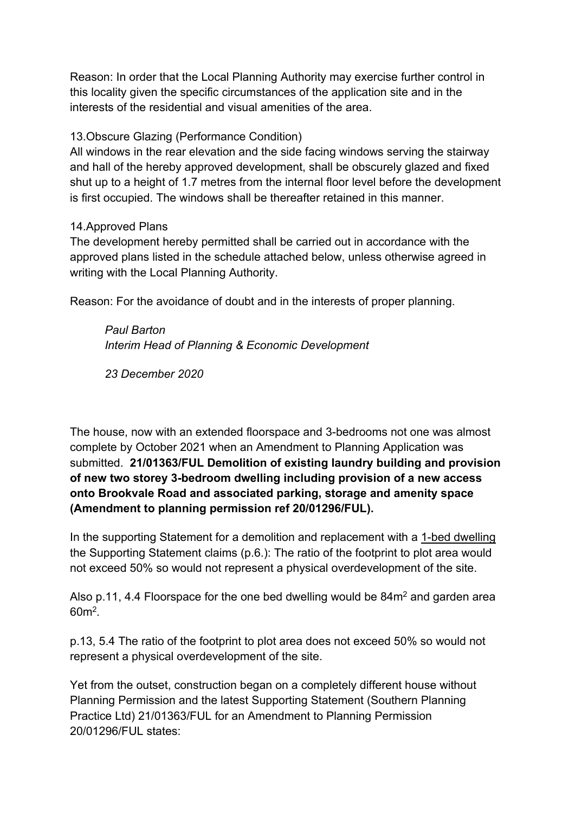Reason: In order that the Local Planning Authority may exercise further control in this locality given the specific circumstances of the application site and in the interests of the residential and visual amenities of the area.

### 13.Obscure Glazing (Performance Condition)

All windows in the rear elevation and the side facing windows serving the stairway and hall of the hereby approved development, shall be obscurely glazed and fixed shut up to a height of 1.7 metres from the internal floor level before the development is first occupied. The windows shall be thereafter retained in this manner.

### 14.Approved Plans

The development hereby permitted shall be carried out in accordance with the approved plans listed in the schedule attached below, unless otherwise agreed in writing with the Local Planning Authority.

Reason: For the avoidance of doubt and in the interests of proper planning.

*Paul Barton Interim Head of Planning & Economic Development* 

*23 December 2020*

The house, now with an extended floorspace and 3-bedrooms not one was almost complete by October 2021 when an Amendment to Planning Application was submitted. **21/01363/FUL Demolition of existing laundry building and provision of new two storey 3-bedroom dwelling including provision of a new access onto Brookvale Road and associated parking, storage and amenity space (Amendment to planning permission ref 20/01296/FUL).** 

In the supporting Statement for a demolition and replacement with a 1-bed dwelling the Supporting Statement claims (p.6.): The ratio of the footprint to plot area would not exceed 50% so would not represent a physical overdevelopment of the site.

Also p.11, 4.4 Floorspace for the one bed dwelling would be 84m<sup>2</sup> and garden area 60m2*.*

p.13, 5.4 The ratio of the footprint to plot area does not exceed 50% so would not represent a physical overdevelopment of the site.

Yet from the outset, construction began on a completely different house without Planning Permission and the latest Supporting Statement (Southern Planning Practice Ltd) 21/01363/FUL for an Amendment to Planning Permission 20/01296/FUL states: